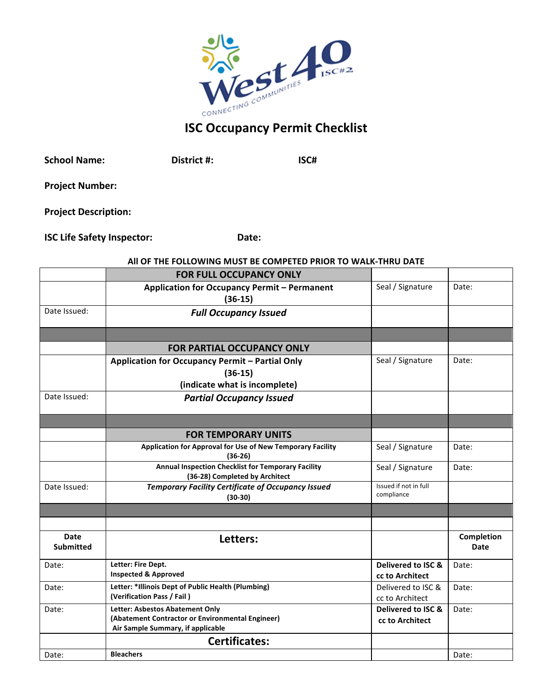

| <b>School Name:</b>         | District #: | ISC# |
|-----------------------------|-------------|------|
| <b>Project Number:</b>      |             |      |
| <b>Project Description:</b> |             |      |

| <b>ISC Life Safety Inspector:</b> | Date: |
|-----------------------------------|-------|
|                                   |       |

## All OF THE FOLLOWING MUST BE COMPETED PRIOR TO WALK-THRU DATE

|                                 | <b>FOR FULL OCCUPANCY ONLY</b>                                                       |                                     |                    |
|---------------------------------|--------------------------------------------------------------------------------------|-------------------------------------|--------------------|
|                                 | Application for Occupancy Permit - Permanent<br>$(36-15)$                            | Seal / Signature                    | Date:              |
| Date Issued:                    | <b>Full Occupancy Issued</b>                                                         |                                     |                    |
|                                 |                                                                                      |                                     |                    |
|                                 | <b>FOR PARTIAL OCCUPANCY ONLY</b>                                                    |                                     |                    |
|                                 | Application for Occupancy Permit - Partial Only                                      | Seal / Signature                    | Date:              |
|                                 | $(36-15)$                                                                            |                                     |                    |
|                                 | (indicate what is incomplete)                                                        |                                     |                    |
| Date Issued:                    | <b>Partial Occupancy Issued</b>                                                      |                                     |                    |
|                                 |                                                                                      |                                     |                    |
|                                 | <b>FOR TEMPORARY UNITS</b>                                                           |                                     |                    |
|                                 | Application for Approval for Use of New Temporary Facility<br>$(36-26)$              | Seal / Signature                    | Date:              |
|                                 | Annual Inspection Checklist for Temporary Facility<br>(36-28) Completed by Architect | Seal / Signature                    | Date:              |
| Date Issued:                    | <b>Temporary Facility Certificate of Occupancy Issued</b><br>$(30-30)$               | Issued if not in full<br>compliance |                    |
|                                 |                                                                                      |                                     |                    |
|                                 |                                                                                      |                                     |                    |
| <b>Date</b><br><b>Submitted</b> | Letters:                                                                             |                                     | Completion<br>Date |
| Date:                           | Letter: Fire Dept.                                                                   | Delivered to ISC &                  | Date:              |
|                                 | <b>Inspected &amp; Approved</b>                                                      | cc to Architect                     |                    |
| Date:                           | Letter: *Illinois Dept of Public Health (Plumbing)                                   | Delivered to ISC &                  | Date:              |
|                                 | (Verification Pass / Fail)                                                           | cc to Architect                     |                    |
| Date:                           | Letter: Asbestos Abatement Only<br>(Abatement Contractor or Environmental Engineer)  | Delivered to ISC &                  | Date:              |
|                                 | Air Sample Summary, if applicable                                                    | cc to Architect                     |                    |
|                                 | <b>Certificates:</b>                                                                 |                                     |                    |
| Date:                           | <b>Bleachers</b>                                                                     |                                     | Date:              |